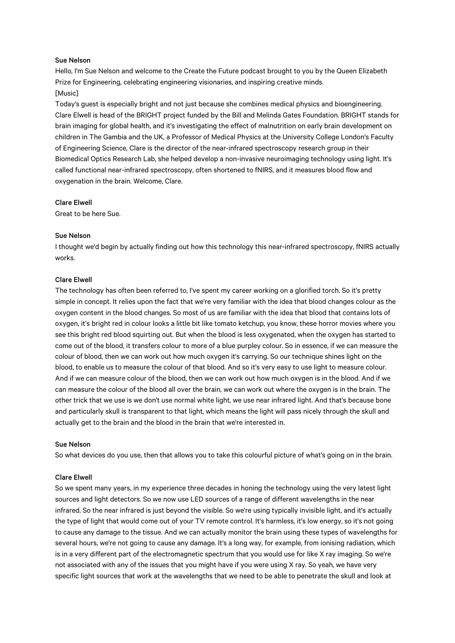# Sue Nelson

Hello, I'm Sue Nelson and welcome to the Create the Future podcast brought to you by the Queen Elizabeth Prize for Engineering, celebrating engineering visionaries, and inspiring creative minds.

# [Music]

Today's guest is especially bright and not just because she combines medical physics and bioengineering. Clare Elwell is head of the BRIGHT project funded by the Bill and Melinda Gates Foundation. BRIGHT stands for brain imaging for global health, and it's investigating the effect of malnutrition on early brain development on children in The Gambia and the UK, a Professor of Medical Physics at the University College London's Faculty of Engineering Science, Clare is the director of the near-infrared spectroscopy research group in their Biomedical Optics Research Lab, she helped develop a non-invasive neuroimaging technology using light. It's called functional near-infrared spectroscopy, often shortened to fNIRS, and it measures blood flow and oxygenation in the brain. Welcome, Clare.

# Clare Elwell

Great to be here Sue.

# Sue Nelson

I thought we'd begin by actually finding out how this technology this near-infrared spectroscopy, fNIRS actually works.

# Clare Elwell

The technology has often been referred to, I've spent my career working on a glorified torch. So it's pretty simple in concept. It relies upon the fact that we're very familiar with the idea that blood changes colour as the oxygen content in the blood changes. So most of us are familiar with the idea that blood that contains lots of oxygen, it's bright red in colour looks a little bit like tomato ketchup, you know, these horror movies where you see this bright red blood squirting out. But when the blood is less oxygenated, when the oxygen has started to come out of the blood, it transfers colour to more of a blue purpley colour. So in essence, if we can measure the colour of blood, then we can work out how much oxygen it's carrying. So our technique shines light on the blood, to enable us to measure the colour of that blood. And so it's very easy to use light to measure colour. And if we can measure colour of the blood, then we can work out how much oxygen is in the blood. And if we can measure the colour of the blood all over the brain, we can work out where the oxygen is in the brain. The other trick that we use is we don't use normal white light, we use near infrared light. And that's because bone and particularly skull is transparent to that light, which means the light will pass nicely through the skull and actually get to the brain and the blood in the brain that we're interested in.

## Sue Nelson

So what devices do you use, then that allows you to take this colourful picture of what's going on in the brain.

## Clare Elwell

So we spent many years, in my experience three decades in honing the technology using the very latest light sources and light detectors. So we now use LED sources of a range of different wavelengths in the near infrared. So the near infrared is just beyond the visible. So we're using typically invisible light, and it's actually the type of light that would come out of your TV remote control. It's harmless, it's low energy, so it's not going to cause any damage to the tissue. And we can actually monitor the brain using these types of wavelengths for several hours, we're not going to cause any damage. It's a long way, for example, from ionising radiation, which is in a very different part of the electromagnetic spectrum that you would use for like X ray imaging. So we're not associated with any of the issues that you might have if you were using X ray. So yeah, we have very specific light sources that work at the wavelengths that we need to be able to penetrate the skull and look at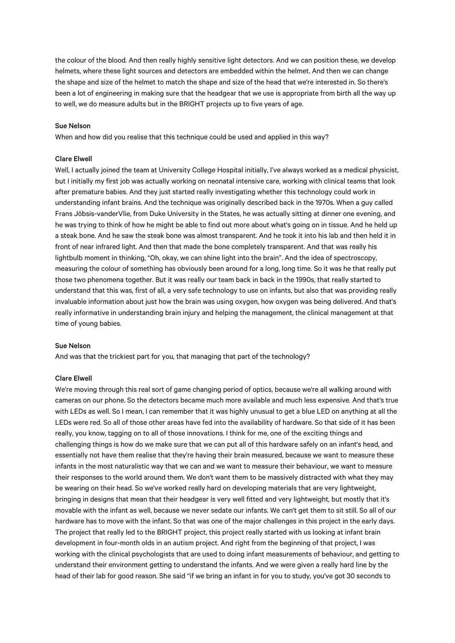the colour of the blood. And then really highly sensitive light detectors. And we can position these, we develop helmets, where these light sources and detectors are embedded within the helmet. And then we can change the shape and size of the helmet to match the shape and size of the head that we're interested in. So there's been a lot of engineering in making sure that the headgear that we use is appropriate from birth all the way up to well, we do measure adults but in the BRIGHT projects up to five years of age.

#### Sue Nelson

When and how did you realise that this technique could be used and applied in this way?

### Clare Elwell

Well, I actually joined the team at University College Hospital initially, I've always worked as a medical physicist, but I initially my first job was actually working on neonatal intensive care, working with clinical teams that look after premature babies. And they just started really investigating whether this technology could work in understanding infant brains. And the technique was originally described back in the 1970s. When a guy called Frans Jöbsis-vanderVlie, from Duke University in the States, he was actually sitting at dinner one evening, and he was trying to think of how he might be able to find out more about what's going on in tissue. And he held up a steak bone. And he saw the steak bone was almost transparent. And he took it into his lab and then held it in front of near infrared light. And then that made the bone completely transparent. And that was really his lightbulb moment in thinking, "Oh, okay, we can shine light into the brain". And the idea of spectroscopy, measuring the colour of something has obviously been around for a long, long time. So it was he that really put those two phenomena together. But it was really our team back in back in the 1990s, that really started to understand that this was, first of all, a very safe technology to use on infants, but also that was providing really invaluable information about just how the brain was using oxygen, how oxygen was being delivered. And that's really informative in understanding brain injury and helping the management, the clinical management at that time of young babies.

# Sue Nelson

And was that the trickiest part for you, that managing that part of the technology?

#### Clare Elwell

We're moving through this real sort of game changing period of optics, because we're all walking around with cameras on our phone. So the detectors became much more available and much less expensive. And that's true with LEDs as well. So I mean, I can remember that it was highly unusual to get a blue LED on anything at all the LEDs were red. So all of those other areas have fed into the availability of hardware. So that side of it has been really, you know, tagging on to all of those innovations. I think for me, one of the exciting things and challenging things is how do we make sure that we can put all of this hardware safely on an infant's head, and essentially not have them realise that they're having their brain measured, because we want to measure these infants in the most naturalistic way that we can and we want to measure their behaviour, we want to measure their responses to the world around them. We don't want them to be massively distracted with what they may be wearing on their head. So we've worked really hard on developing materials that are very lightweight, bringing in designs that mean that their headgear is very well fitted and very lightweight, but mostly that it's movable with the infant as well, because we never sedate our infants. We can't get them to sit still. So all of our hardware has to move with the infant. So that was one of the major challenges in this project in the early days. The project that really led to the BRIGHT project, this project really started with us looking at infant brain development in four-month olds in an autism project. And right from the beginning of that project, I was working with the clinical psychologists that are used to doing infant measurements of behaviour, and getting to understand their environment getting to understand the infants. And we were given a really hard line by the head of their lab for good reason. She said "if we bring an infant in for you to study, you've got 30 seconds to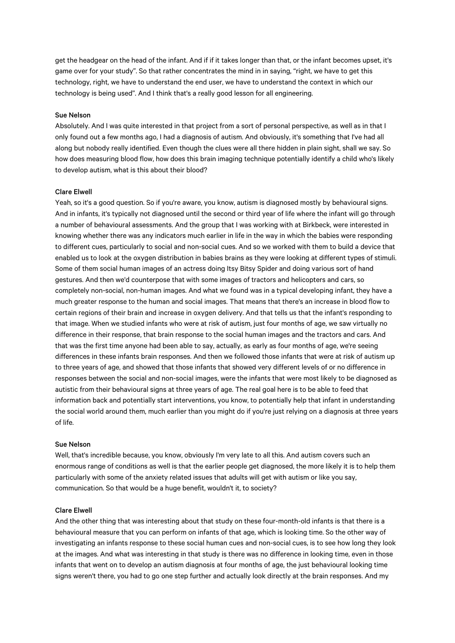get the headgear on the head of the infant. And if if it takes longer than that, or the infant becomes upset, it's game over for your study". So that rather concentrates the mind in in saying, "right, we have to get this technology, right, we have to understand the end user, we have to understand the context in which our technology is being used". And I think that's a really good lesson for all engineering.

#### Sue Nelson

Absolutely. And I was quite interested in that project from a sort of personal perspective, as well as in that I only found out a few months ago, I had a diagnosis of autism. And obviously, it's something that I've had all along but nobody really identified. Even though the clues were all there hidden in plain sight, shall we say. So how does measuring blood flow, how does this brain imaging technique potentially identify a child who's likely to develop autism, what is this about their blood?

# Clare Elwell

Yeah, so it's a good question. So if you're aware, you know, autism is diagnosed mostly by behavioural signs. And in infants, it's typically not diagnosed until the second or third year of life where the infant will go through a number of behavioural assessments. And the group that I was working with at Birkbeck, were interested in knowing whether there was any indicators much earlier in life in the way in which the babies were responding to different cues, particularly to social and non-social cues. And so we worked with them to build a device that enabled us to look at the oxygen distribution in babies brains as they were looking at different types of stimuli. Some of them social human images of an actress doing Itsy Bitsy Spider and doing various sort of hand gestures. And then we'd counterpose that with some images of tractors and helicopters and cars, so completely non-social, non-human images. And what we found was in a typical developing infant, they have a much greater response to the human and social images. That means that there's an increase in blood flow to certain regions of their brain and increase in oxygen delivery. And that tells us that the infant's responding to that image. When we studied infants who were at risk of autism, just four months of age, we saw virtually no difference in their response, that brain response to the social human images and the tractors and cars. And that was the first time anyone had been able to say, actually, as early as four months of age, we're seeing differences in these infants brain responses. And then we followed those infants that were at risk of autism up to three years of age, and showed that those infants that showed very different levels of or no difference in responses between the social and non-social images, were the infants that were most likely to be diagnosed as autistic from their behavioural signs at three years of age. The real goal here is to be able to feed that information back and potentially start interventions, you know, to potentially help that infant in understanding the social world around them, much earlier than you might do if you're just relying on a diagnosis at three years of life.

#### Sue Nelson

Well, that's incredible because, you know, obviously I'm very late to all this. And autism covers such an enormous range of conditions as well is that the earlier people get diagnosed, the more likely it is to help them particularly with some of the anxiety related issues that adults will get with autism or like you say, communication. So that would be a huge benefit, wouldn't it, to society?

### Clare Elwell

And the other thing that was interesting about that study on these four-month-old infants is that there is a behavioural measure that you can perform on infants of that age, which is looking time. So the other way of investigating an infants response to these social human cues and non-social cues, is to see how long they look at the images. And what was interesting in that study is there was no difference in looking time, even in those infants that went on to develop an autism diagnosis at four months of age, the just behavioural looking time signs weren't there, you had to go one step further and actually look directly at the brain responses. And my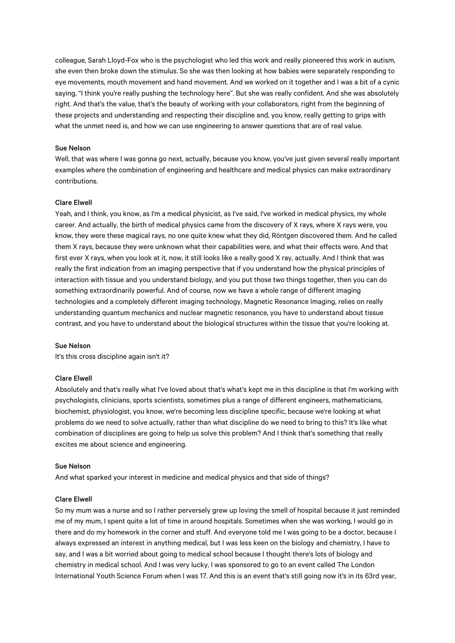colleague, Sarah Lloyd-Fox who is the psychologist who led this work and really pioneered this work in autism, she even then broke down the stimulus. So she was then looking at how babies were separately responding to eye movements, mouth movement and hand movement. And we worked on it together and I was a bit of a cynic saying, "I think you're really pushing the technology here". But she was really confident. And she was absolutely right. And that's the value, that's the beauty of working with your collaborators, right from the beginning of these projects and understanding and respecting their discipline and, you know, really getting to grips with what the unmet need is, and how we can use engineering to answer questions that are of real value.

# Sue Nelson

Well, that was where I was gonna go next, actually, because you know, you've just given several really important examples where the combination of engineering and healthcare and medical physics can make extraordinary contributions.

#### Clare Elwell

Yeah, and I think, you know, as I'm a medical physicist, as I've said, I've worked in medical physics, my whole career. And actually, the birth of medical physics came from the discovery of X rays, where X rays were, you know, they were these magical rays, no one quite knew what they did, Röntgen discovered them. And he called them X rays, because they were unknown what their capabilities were, and what their effects were. And that first ever X rays, when you look at it, now, it still looks like a really good X ray, actually. And I think that was really the first indication from an imaging perspective that if you understand how the physical principles of interaction with tissue and you understand biology, and you put those two things together, then you can do something extraordinarily powerful. And of course, now we have a whole range of different imaging technologies and a completely different imaging technology, Magnetic Resonance Imaging, relies on really understanding quantum mechanics and nuclear magnetic resonance, you have to understand about tissue contrast, and you have to understand about the biological structures within the tissue that you're looking at.

# Sue Nelson

It's this cross discipline again isn't it?

### Clare Elwell

Absolutely and that's really what I've loved about that's what's kept me in this discipline is that I'm working with psychologists, clinicians, sports scientists, sometimes plus a range of different engineers, mathematicians, biochemist, physiologist, you know, we're becoming less discipline specific, because we're looking at what problems do we need to solve actually, rather than what discipline do we need to bring to this? It's like what combination of disciplines are going to help us solve this problem? And I think that's something that really excites me about science and engineering.

#### Sue Nelson

And what sparked your interest in medicine and medical physics and that side of things?

#### Clare Elwell

So my mum was a nurse and so I rather perversely grew up loving the smell of hospital because it just reminded me of my mum, I spent quite a lot of time in around hospitals. Sometimes when she was working, I would go in there and do my homework in the corner and stuff. And everyone told me I was going to be a doctor, because I always expressed an interest in anything medical, but I was less keen on the biology and chemistry, I have to say, and I was a bit worried about going to medical school because I thought there's lots of biology and chemistry in medical school. And I was very lucky, I was sponsored to go to an event called The London International Youth Science Forum when I was 17. And this is an event that's still going now it's in its 63rd year,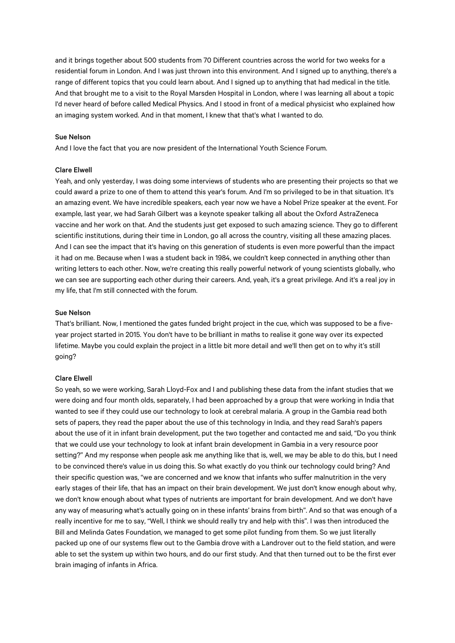and it brings together about 500 students from 70 Different countries across the world for two weeks for a residential forum in London. And I was just thrown into this environment. And I signed up to anything, there's a range of different topics that you could learn about. And I signed up to anything that had medical in the title. And that brought me to a visit to the Royal Marsden Hospital in London, where I was learning all about a topic I'd never heard of before called Medical Physics. And I stood in front of a medical physicist who explained how an imaging system worked. And in that moment, I knew that that's what I wanted to do.

### Sue Nelson

And I love the fact that you are now president of the International Youth Science Forum.

## Clare Elwell

Yeah, and only yesterday, I was doing some interviews of students who are presenting their projects so that we could award a prize to one of them to attend this year's forum. And I'm so privileged to be in that situation. It's an amazing event. We have incredible speakers, each year now we have a Nobel Prize speaker at the event. For example, last year, we had Sarah Gilbert was a keynote speaker talking all about the Oxford AstraZeneca vaccine and her work on that. And the students just get exposed to such amazing science. They go to different scientific institutions, during their time in London, go all across the country, visiting all these amazing places. And I can see the impact that it's having on this generation of students is even more powerful than the impact it had on me. Because when I was a student back in 1984, we couldn't keep connected in anything other than writing letters to each other. Now, we're creating this really powerful network of young scientists globally, who we can see are supporting each other during their careers. And, yeah, it's a great privilege. And it's a real joy in my life, that I'm still connected with the forum.

#### Sue Nelson

That's brilliant. Now, I mentioned the gates funded bright project in the cue, which was supposed to be a fiveyear project started in 2015. You don't have to be brilliant in maths to realise it gone way over its expected lifetime. Maybe you could explain the project in a little bit more detail and we'll then get on to why it's still going?

### Clare Elwell

So yeah, so we were working, Sarah Lloyd-Fox and I and publishing these data from the infant studies that we were doing and four month olds, separately, I had been approached by a group that were working in India that wanted to see if they could use our technology to look at cerebral malaria. A group in the Gambia read both sets of papers, they read the paper about the use of this technology in India, and they read Sarah's papers about the use of it in infant brain development, put the two together and contacted me and said, "Do you think that we could use your technology to look at infant brain development in Gambia in a very resource poor setting?" And my response when people ask me anything like that is, well, we may be able to do this, but I need to be convinced there's value in us doing this. So what exactly do you think our technology could bring? And their specific question was, "we are concerned and we know that infants who suffer malnutrition in the very early stages of their life, that has an impact on their brain development. We just don't know enough about why, we don't know enough about what types of nutrients are important for brain development. And we don't have any way of measuring what's actually going on in these infants' brains from birth". And so that was enough of a really incentive for me to say, "Well, I think we should really try and help with this". I was then introduced the Bill and Melinda Gates Foundation, we managed to get some pilot funding from them. So we just literally packed up one of our systems flew out to the Gambia drove with a Landrover out to the field station, and were able to set the system up within two hours, and do our first study. And that then turned out to be the first ever brain imaging of infants in Africa.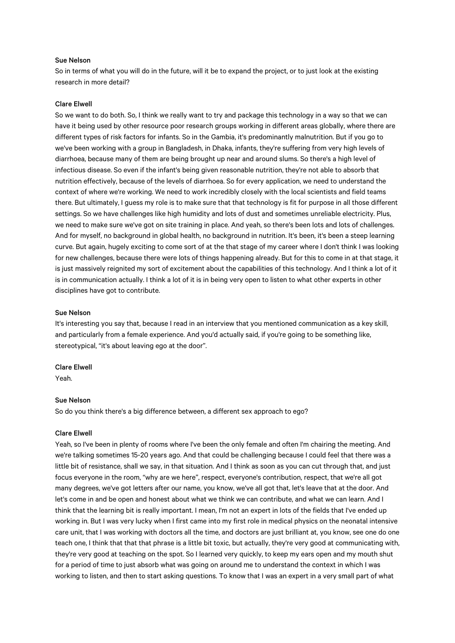## Sue Nelson

So in terms of what you will do in the future, will it be to expand the project, or to just look at the existing research in more detail?

## Clare Elwell

So we want to do both. So, I think we really want to try and package this technology in a way so that we can have it being used by other resource poor research groups working in different areas globally, where there are different types of risk factors for infants. So in the Gambia, it's predominantly malnutrition. But if you go to we've been working with a group in Bangladesh, in Dhaka, infants, they're suffering from very high levels of diarrhoea, because many of them are being brought up near and around slums. So there's a high level of infectious disease. So even if the infant's being given reasonable nutrition, they're not able to absorb that nutrition effectively, because of the levels of diarrhoea. So for every application, we need to understand the context of where we're working. We need to work incredibly closely with the local scientists and field teams there. But ultimately, I guess my role is to make sure that that technology is fit for purpose in all those different settings. So we have challenges like high humidity and lots of dust and sometimes unreliable electricity. Plus, we need to make sure we've got on site training in place. And yeah, so there's been lots and lots of challenges. And for myself, no background in global health, no background in nutrition. It's been, it's been a steep learning curve. But again, hugely exciting to come sort of at the that stage of my career where I don't think I was looking for new challenges, because there were lots of things happening already. But for this to come in at that stage, it is just massively reignited my sort of excitement about the capabilities of this technology. And I think a lot of it is in communication actually. I think a lot of it is in being very open to listen to what other experts in other disciplines have got to contribute.

#### Sue Nelson

It's interesting you say that, because I read in an interview that you mentioned communication as a key skill, and particularly from a female experience. And you'd actually said, if you're going to be something like, stereotypical, "it's about leaving ego at the door".

# Clare Elwell

Yeah.

### Sue Nelson

So do you think there's a big difference between, a different sex approach to ego?

## Clare Elwell

Yeah, so I've been in plenty of rooms where I've been the only female and often I'm chairing the meeting. And we're talking sometimes 15-20 years ago. And that could be challenging because I could feel that there was a little bit of resistance, shall we say, in that situation. And I think as soon as you can cut through that, and just focus everyone in the room, "why are we here", respect, everyone's contribution, respect, that we're all got many degrees, we've got letters after our name, you know, we've all got that, let's leave that at the door. And let's come in and be open and honest about what we think we can contribute, and what we can learn. And I think that the learning bit is really important. I mean, I'm not an expert in lots of the fields that I've ended up working in. But I was very lucky when I first came into my first role in medical physics on the neonatal intensive care unit, that I was working with doctors all the time, and doctors are just brilliant at, you know, see one do one teach one, I think that that that phrase is a little bit toxic, but actually, they're very good at communicating with, they're very good at teaching on the spot. So I learned very quickly, to keep my ears open and my mouth shut for a period of time to just absorb what was going on around me to understand the context in which I was working to listen, and then to start asking questions. To know that I was an expert in a very small part of what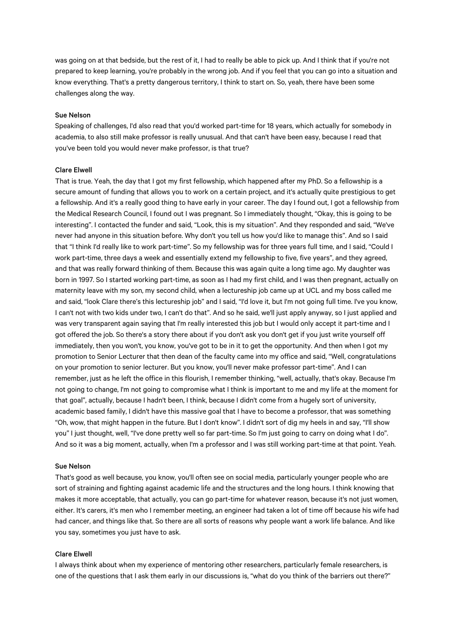was going on at that bedside, but the rest of it, I had to really be able to pick up. And I think that if you're not prepared to keep learning, you're probably in the wrong job. And if you feel that you can go into a situation and know everything. That's a pretty dangerous territory, I think to start on. So, yeah, there have been some challenges along the way.

#### Sue Nelson

Speaking of challenges, I'd also read that you'd worked part-time for 18 years, which actually for somebody in academia, to also still make professor is really unusual. And that can't have been easy, because I read that you've been told you would never make professor, is that true?

### Clare Elwell

That is true. Yeah, the day that I got my first fellowship, which happened after my PhD. So a fellowship is a secure amount of funding that allows you to work on a certain project, and it's actually quite prestigious to get a fellowship. And it's a really good thing to have early in your career. The day I found out, I got a fellowship from the Medical Research Council, I found out I was pregnant. So I immediately thought, "Okay, this is going to be interesting". I contacted the funder and said, "Look, this is my situation". And they responded and said, "We've never had anyone in this situation before. Why don't you tell us how you'd like to manage this". And so I said that "I think I'd really like to work part-time". So my fellowship was for three years full time, and I said, "Could I work part-time, three days a week and essentially extend my fellowship to five, five years", and they agreed, and that was really forward thinking of them. Because this was again quite a long time ago. My daughter was born in 1997. So I started working part-time, as soon as I had my first child, and I was then pregnant, actually on maternity leave with my son, my second child, when a lectureship job came up at UCL and my boss called me and said, "look Clare there's this lectureship job" and I said, "I'd love it, but I'm not going full time. I've you know, I can't not with two kids under two, I can't do that". And so he said, we'll just apply anyway, so I just applied and was very transparent again saying that I'm really interested this job but I would only accept it part-time and I got offered the job. So there's a story there about if you don't ask you don't get if you just write yourself off immediately, then you won't, you know, you've got to be in it to get the opportunity. And then when I got my promotion to Senior Lecturer that then dean of the faculty came into my office and said, "Well, congratulations on your promotion to senior lecturer. But you know, you'll never make professor part-time". And I can remember, just as he left the office in this flourish, I remember thinking, "well, actually, that's okay. Because I'm not going to change, I'm not going to compromise what I think is important to me and my life at the moment for that goal", actually, because I hadn't been, I think, because I didn't come from a hugely sort of university, academic based family, I didn't have this massive goal that I have to become a professor, that was something "Oh, wow, that might happen in the future. But I don't know". I didn't sort of dig my heels in and say, "I'll show you" I just thought, well, "I've done pretty well so far part-time. So I'm just going to carry on doing what I do". And so it was a big moment, actually, when I'm a professor and I was still working part-time at that point. Yeah.

### Sue Nelson

That's good as well because, you know, you'll often see on social media, particularly younger people who are sort of straining and fighting against academic life and the structures and the long hours. I think knowing that makes it more acceptable, that actually, you can go part-time for whatever reason, because it's not just women, either. It's carers, it's men who I remember meeting, an engineer had taken a lot of time off because his wife had had cancer, and things like that. So there are all sorts of reasons why people want a work life balance. And like you say, sometimes you just have to ask.

### Clare Elwell

I always think about when my experience of mentoring other researchers, particularly female researchers, is one of the questions that I ask them early in our discussions is, "what do you think of the barriers out there?"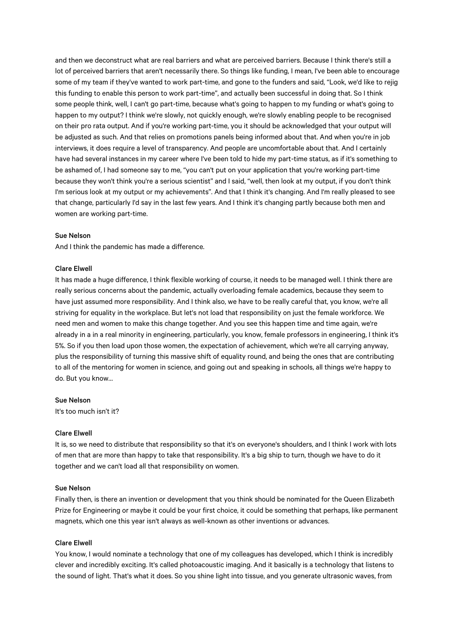and then we deconstruct what are real barriers and what are perceived barriers. Because I think there's still a lot of perceived barriers that aren't necessarily there. So things like funding, I mean, I've been able to encourage some of my team if they've wanted to work part-time, and gone to the funders and said, "Look, we'd like to rejig this funding to enable this person to work part-time", and actually been successful in doing that. So I think some people think, well, I can't go part-time, because what's going to happen to my funding or what's going to happen to my output? I think we're slowly, not quickly enough, we're slowly enabling people to be recognised on their pro rata output. And if you're working part-time, you it should be acknowledged that your output will be adjusted as such. And that relies on promotions panels being informed about that. And when you're in job interviews, it does require a level of transparency. And people are uncomfortable about that. And I certainly have had several instances in my career where I've been told to hide my part-time status, as if it's something to be ashamed of, I had someone say to me, "you can't put on your application that you're working part-time because they won't think you're a serious scientist" and I said, "well, then look at my output, if you don't think I'm serious look at my output or my achievements". And that I think it's changing. And I'm really pleased to see that change, particularly I'd say in the last few years. And I think it's changing partly because both men and women are working part-time.

#### Sue Nelson

And I think the pandemic has made a difference.

#### Clare Elwell

It has made a huge difference, I think flexible working of course, it needs to be managed well. I think there are really serious concerns about the pandemic, actually overloading female academics, because they seem to have just assumed more responsibility. And I think also, we have to be really careful that, you know, we're all striving for equality in the workplace. But let's not load that responsibility on just the female workforce. We need men and women to make this change together. And you see this happen time and time again, we're already in a in a real minority in engineering, particularly, you know, female professors in engineering, I think it's 5%. So if you then load upon those women, the expectation of achievement, which we're all carrying anyway, plus the responsibility of turning this massive shift of equality round, and being the ones that are contributing to all of the mentoring for women in science, and going out and speaking in schools, all things we're happy to do. But you know…

### Sue Nelson

It's too much isn't it?

# Clare Elwell

It is, so we need to distribute that responsibility so that it's on everyone's shoulders, and I think I work with lots of men that are more than happy to take that responsibility. It's a big ship to turn, though we have to do it together and we can't load all that responsibility on women.

#### Sue Nelson

Finally then, is there an invention or development that you think should be nominated for the Queen Elizabeth Prize for Engineering or maybe it could be your first choice, it could be something that perhaps, like permanent magnets, which one this year isn't always as well-known as other inventions or advances.

#### Clare Elwell

You know, I would nominate a technology that one of my colleagues has developed, which I think is incredibly clever and incredibly exciting. It's called photoacoustic imaging. And it basically is a technology that listens to the sound of light. That's what it does. So you shine light into tissue, and you generate ultrasonic waves, from